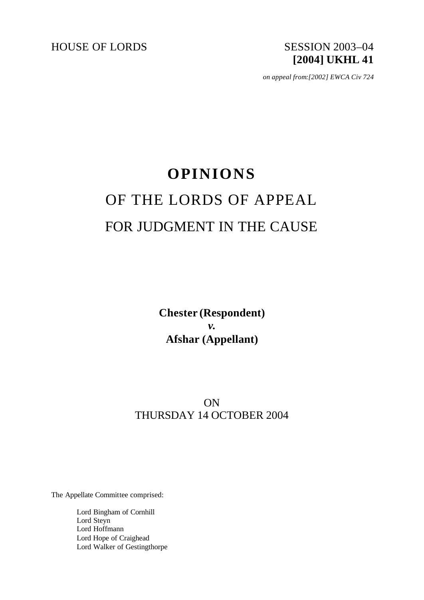

*on appeal from:[2002] EWCA Civ 724*

# **OPINIONS** OF THE LORDS OF APPEAL FOR JUDGMENT IN THE CAUSE

**Chester (Respondent)** *v.* **Afshar (Appellant)**

## ON THURSDAY 14 OCTOBER 2004

The Appellate Committee comprised:

Lord Bingham of Cornhill Lord Steyn Lord Hoffmann Lord Hope of Craighead Lord Walker of Gestingthorpe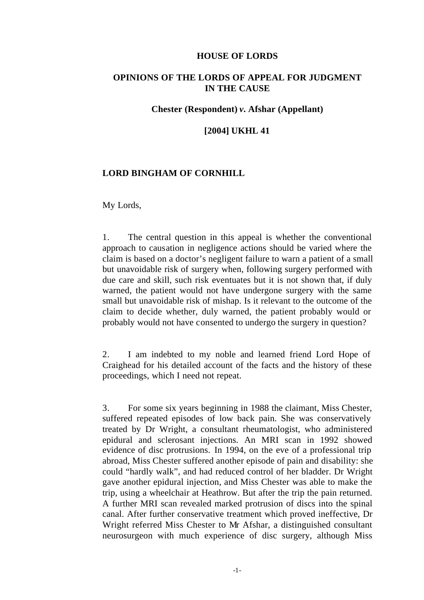#### **HOUSE OF LORDS**

## **OPINIONS OF THE LORDS OF APPEAL FOR JUDGMENT IN THE CAUSE**

#### **Chester (Respondent)** *v.* **Afshar (Appellant)**

#### **[2004] UKHL 41**

#### **LORD BINGHAM OF CORNHILL**

My Lords,

1. The central question in this appeal is whether the conventional approach to causation in negligence actions should be varied where the claim is based on a doctor's negligent failure to warn a patient of a small but unavoidable risk of surgery when, following surgery performed with due care and skill, such risk eventuates but it is not shown that, if duly warned, the patient would not have undergone surgery with the same small but unavoidable risk of mishap. Is it relevant to the outcome of the claim to decide whether, duly warned, the patient probably would or probably would not have consented to undergo the surgery in question?

2. I am indebted to my noble and learned friend Lord Hope of Craighead for his detailed account of the facts and the history of these proceedings, which I need not repeat.

3. For some six years beginning in 1988 the claimant, Miss Chester, suffered repeated episodes of low back pain. She was conservatively treated by Dr Wright, a consultant rheumatologist, who administered epidural and sclerosant injections. An MRI scan in 1992 showed evidence of disc protrusions. In 1994, on the eve of a professional trip abroad, Miss Chester suffered another episode of pain and disability: she could "hardly walk", and had reduced control of her bladder. Dr Wright gave another epidural injection, and Miss Chester was able to make the trip, using a wheelchair at Heathrow. But after the trip the pain returned. A further MRI scan revealed marked protrusion of discs into the spinal canal. After further conservative treatment which proved ineffective, Dr Wright referred Miss Chester to Mr Afshar, a distinguished consultant neurosurgeon with much experience of disc surgery, although Miss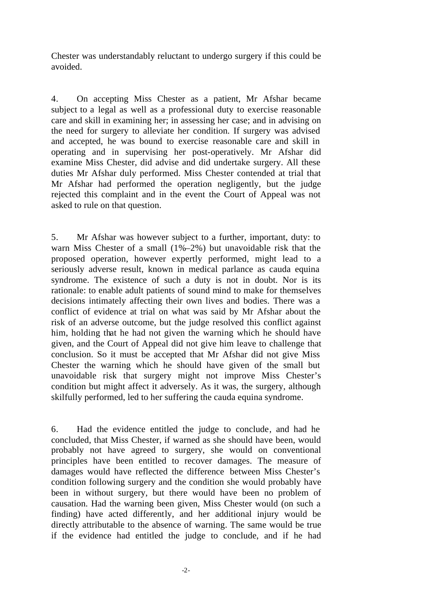Chester was understandably reluctant to undergo surgery if this could be avoided.

4. On accepting Miss Chester as a patient, Mr Afshar became subject to a legal as well as a professional duty to exercise reasonable care and skill in examining her; in assessing her case; and in advising on the need for surgery to alleviate her condition. If surgery was advised and accepted, he was bound to exercise reasonable care and skill in operating and in supervising her post-operatively. Mr Afshar did examine Miss Chester, did advise and did undertake surgery. All these duties Mr Afshar duly performed. Miss Chester contended at trial that Mr Afshar had performed the operation negligently, but the judge rejected this complaint and in the event the Court of Appeal was not asked to rule on that question.

5. Mr Afshar was however subject to a further, important, duty: to warn Miss Chester of a small (1%–2%) but unavoidable risk that the proposed operation, however expertly performed, might lead to a seriously adverse result, known in medical parlance as cauda equina syndrome. The existence of such a duty is not in doubt. Nor is its rationale: to enable adult patients of sound mind to make for themselves decisions intimately affecting their own lives and bodies. There was a conflict of evidence at trial on what was said by Mr Afshar about the risk of an adverse outcome, but the judge resolved this conflict against him, holding that he had not given the warning which he should have given, and the Court of Appeal did not give him leave to challenge that conclusion. So it must be accepted that Mr Afshar did not give Miss Chester the warning which he should have given of the small but unavoidable risk that surgery might not improve Miss Chester's condition but might affect it adversely. As it was, the surgery, although skilfully performed, led to her suffering the cauda equina syndrome.

6. Had the evidence entitled the judge to conclude, and had he concluded, that Miss Chester, if warned as she should have been, would probably not have agreed to surgery, she would on conventional principles have been entitled to recover damages. The measure of damages would have reflected the difference between Miss Chester's condition following surgery and the condition she would probably have been in without surgery, but there would have been no problem of causation. Had the warning been given, Miss Chester would (on such a finding) have acted differently, and her additional injury would be directly attributable to the absence of warning. The same would be true if the evidence had entitled the judge to conclude, and if he had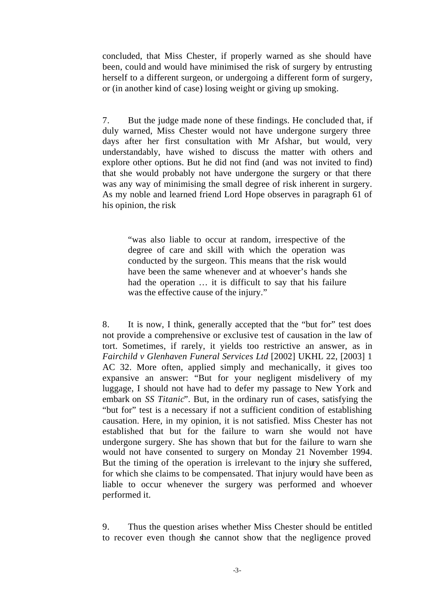concluded, that Miss Chester, if properly warned as she should have been, could and would have minimised the risk of surgery by entrusting herself to a different surgeon, or undergoing a different form of surgery, or (in another kind of case) losing weight or giving up smoking.

7. But the judge made none of these findings. He concluded that, if duly warned, Miss Chester would not have undergone surgery three days after her first consultation with Mr Afshar, but would, very understandably, have wished to discuss the matter with others and explore other options. But he did not find (and was not invited to find) that she would probably not have undergone the surgery or that there was any way of minimising the small degree of risk inherent in surgery. As my noble and learned friend Lord Hope observes in paragraph 61 of his opinion, the risk

"was also liable to occur at random, irrespective of the degree of care and skill with which the operation was conducted by the surgeon. This means that the risk would have been the same whenever and at whoever's hands she had the operation … it is difficult to say that his failure was the effective cause of the injury."

8. It is now, I think, generally accepted that the "but for" test does not provide a comprehensive or exclusive test of causation in the law of tort. Sometimes, if rarely, it yields too restrictive an answer, as in *Fairchild v Glenhaven Funeral Services Ltd* [2002] UKHL 22, [2003] 1 AC 32. More often, applied simply and mechanically, it gives too expansive an answer: "But for your negligent misdelivery of my luggage, I should not have had to defer my passage to New York and embark on *SS Titanic*". But, in the ordinary run of cases, satisfying the "but for" test is a necessary if not a sufficient condition of establishing causation. Here, in my opinion, it is not satisfied. Miss Chester has not established that but for the failure to warn she would not have undergone surgery. She has shown that but for the failure to warn she would not have consented to surgery on Monday 21 November 1994. But the timing of the operation is irrelevant to the injury she suffered, for which she claims to be compensated. That injury would have been as liable to occur whenever the surgery was performed and whoever performed it.

9. Thus the question arises whether Miss Chester should be entitled to recover even though she cannot show that the negligence proved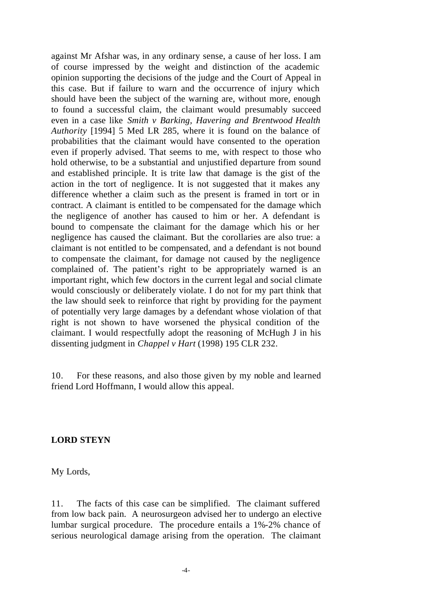against Mr Afshar was, in any ordinary sense, a cause of her loss. I am of course impressed by the weight and distinction of the academic opinion supporting the decisions of the judge and the Court of Appeal in this case. But if failure to warn and the occurrence of injury which should have been the subject of the warning are, without more, enough to found a successful claim, the claimant would presumably succeed even in a case like *Smith v Barking, Havering and Brentwood Health Authority* [1994] 5 Med LR 285, where it is found on the balance of probabilities that the claimant would have consented to the operation even if properly advised. That seems to me, with respect to those who hold otherwise, to be a substantial and unjustified departure from sound and established principle. It is trite law that damage is the gist of the action in the tort of negligence. It is not suggested that it makes any difference whether a claim such as the present is framed in tort or in contract. A claimant is entitled to be compensated for the damage which the negligence of another has caused to him or her. A defendant is bound to compensate the claimant for the damage which his or her negligence has caused the claimant. But the corollaries are also true: a claimant is not entitled to be compensated, and a defendant is not bound to compensate the claimant, for damage not caused by the negligence complained of. The patient's right to be appropriately warned is an important right, which few doctors in the current legal and social climate would consciously or deliberately violate. I do not for my part think that the law should seek to reinforce that right by providing for the payment of potentially very large damages by a defendant whose violation of that right is not shown to have worsened the physical condition of the claimant. I would respectfully adopt the reasoning of McHugh J in his dissenting judgment in *Chappel v Hart* (1998) 195 CLR 232.

10. For these reasons, and also those given by my noble and learned friend Lord Hoffmann, I would allow this appeal.

## **LORD STEYN**

My Lords,

11. The facts of this case can be simplified. The claimant suffered from low back pain. A neurosurgeon advised her to undergo an elective lumbar surgical procedure. The procedure entails a 1%-2% chance of serious neurological damage arising from the operation. The claimant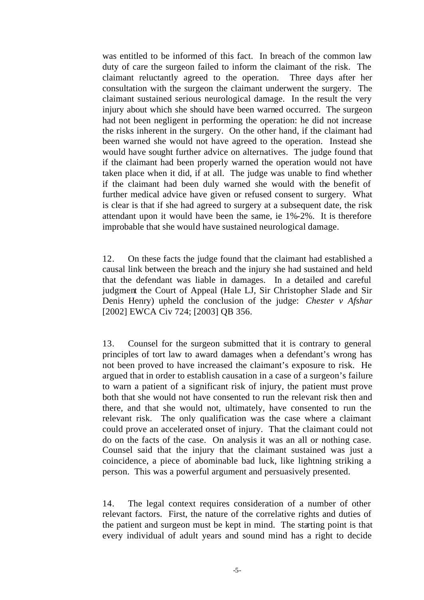was entitled to be informed of this fact. In breach of the common law duty of care the surgeon failed to inform the claimant of the risk. The claimant reluctantly agreed to the operation. Three days after her consultation with the surgeon the claimant underwent the surgery. The claimant sustained serious neurological damage. In the result the very injury about which she should have been warned occurred. The surgeon had not been negligent in performing the operation: he did not increase the risks inherent in the surgery. On the other hand, if the claimant had been warned she would not have agreed to the operation. Instead she would have sought further advice on alternatives. The judge found that if the claimant had been properly warned the operation would not have taken place when it did, if at all. The judge was unable to find whether if the claimant had been duly warned she would with the benefit of further medical advice have given or refused consent to surgery. What is clear is that if she had agreed to surgery at a subsequent date, the risk attendant upon it would have been the same, ie 1%-2%. It is therefore improbable that she would have sustained neurological damage.

12. On these facts the judge found that the claimant had established a causal link between the breach and the injury she had sustained and held that the defendant was liable in damages. In a detailed and careful judgment the Court of Appeal (Hale LJ, Sir Christopher Slade and Sir Denis Henry) upheld the conclusion of the judge: *Chester v Afshar* [2002] EWCA Civ 724; [2003] QB 356.

13. Counsel for the surgeon submitted that it is contrary to general principles of tort law to award damages when a defendant's wrong has not been proved to have increased the claimant's exposure to risk. He argued that in order to establish causation in a case of a surgeon's failure to warn a patient of a significant risk of injury, the patient must prove both that she would not have consented to run the relevant risk then and there, and that she would not, ultimately, have consented to run the relevant risk. The only qualification was the case where a claimant could prove an accelerated onset of injury. That the claimant could not do on the facts of the case. On analysis it was an all or nothing case. Counsel said that the injury that the claimant sustained was just a coincidence, a piece of abominable bad luck, like lightning striking a person. This was a powerful argument and persuasively presented.

14. The legal context requires consideration of a number of other relevant factors. First, the nature of the correlative rights and duties of the patient and surgeon must be kept in mind. The starting point is that every individual of adult years and sound mind has a right to decide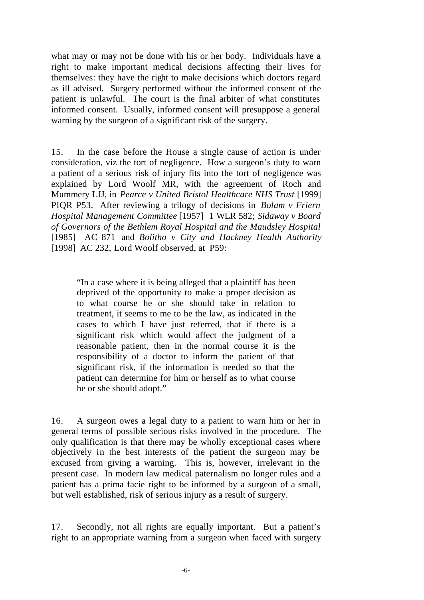what may or may not be done with his or her body. Individuals have a right to make important medical decisions affecting their lives for themselves: they have the right to make decisions which doctors regard as ill advised. Surgery performed without the informed consent of the patient is unlawful. The court is the final arbiter of what constitutes informed consent. Usually, informed consent will presuppose a general warning by the surgeon of a significant risk of the surgery.

15. In the case before the House a single cause of action is under consideration, viz the tort of negligence. How a surgeon's duty to warn a patient of a serious risk of injury fits into the tort of negligence was explained by Lord Woolf MR, with the agreement of Roch and Mummery LJJ, in *Pearce v United Bristol Healthcare NHS Trust* [1999] PIQR P53. After reviewing a trilogy of decisions in *Bolam v Friern Hospital Management Committee* [1957] 1 WLR 582; *Sidaway v Board of Governors of the Bethlem Royal Hospital and the Maudsley Hospital*  [1985] AC 871 and *Bolitho v City and Hackney Health Authority* [1998] AC 232, Lord Woolf observed, at P59:

"In a case where it is being alleged that a plaintiff has been deprived of the opportunity to make a proper decision as to what course he or she should take in relation to treatment, it seems to me to be the law, as indicated in the cases to which I have just referred, that if there is a significant risk which would affect the judgment of a reasonable patient, then in the normal course it is the responsibility of a doctor to inform the patient of that significant risk, if the information is needed so that the patient can determine for him or herself as to what course he or she should adopt."

16. A surgeon owes a legal duty to a patient to warn him or her in general terms of possible serious risks involved in the procedure. The only qualification is that there may be wholly exceptional cases where objectively in the best interests of the patient the surgeon may be excused from giving a warning. This is, however, irrelevant in the present case. In modern law medical paternalism no longer rules and a patient has a prima facie right to be informed by a surgeon of a small, but well established, risk of serious injury as a result of surgery.

17. Secondly, not all rights are equally important. But a patient's right to an appropriate warning from a surgeon when faced with surgery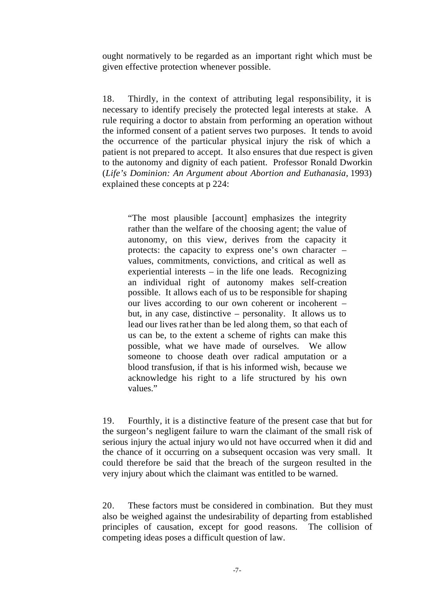ought normatively to be regarded as an important right which must be given effective protection whenever possible.

18. Thirdly, in the context of attributing legal responsibility, it is necessary to identify precisely the protected legal interests at stake. A rule requiring a doctor to abstain from performing an operation without the informed consent of a patient serves two purposes. It tends to avoid the occurrence of the particular physical injury the risk of which a patient is not prepared to accept. It also ensures that due respect is given to the autonomy and dignity of each patient. Professor Ronald Dworkin (*Life's Dominion: An Argument about Abortion and Euthanasia,* 1993) explained these concepts at p 224:

"The most plausible [account] emphasizes the integrity rather than the welfare of the choosing agent; the value of autonomy, on this view, derives from the capacity it protects: the capacity to express one's own character – values, commitments, convictions, and critical as well as experiential interests – in the life one leads. Recognizing an individual right of autonomy makes self-creation possible. It allows each of us to be responsible for shaping our lives according to our own coherent or incoherent – but, in any case, distinctive – personality. It allows us to lead our lives rather than be led along them, so that each of us can be, to the extent a scheme of rights can make this possible, what we have made of ourselves. We allow someone to choose death over radical amputation or a blood transfusion, if that is his informed wish, because we acknowledge his right to a life structured by his own values."

19. Fourthly, it is a distinctive feature of the present case that but for the surgeon's negligent failure to warn the claimant of the small risk of serious injury the actual injury wo uld not have occurred when it did and the chance of it occurring on a subsequent occasion was very small. It could therefore be said that the breach of the surgeon resulted in the very injury about which the claimant was entitled to be warned.

20. These factors must be considered in combination. But they must also be weighed against the undesirability of departing from established principles of causation, except for good reasons. The collision of competing ideas poses a difficult question of law.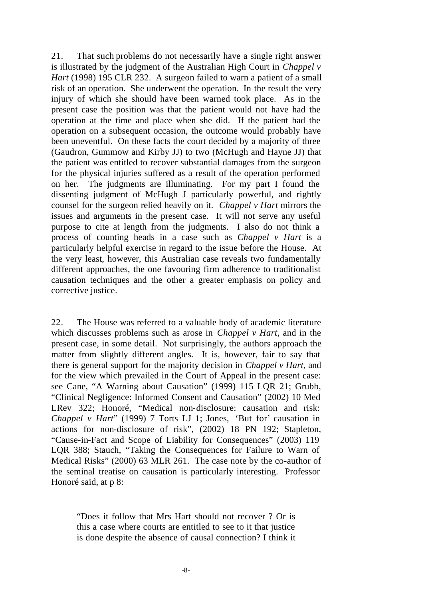21. That such problems do not necessarily have a single right answer is illustrated by the judgment of the Australian High Court in *Chappel v Hart* (1998) 195 CLR 232. A surgeon failed to warn a patient of a small risk of an operation. She underwent the operation. In the result the very injury of which she should have been warned took place. As in the present case the position was that the patient would not have had the operation at the time and place when she did. If the patient had the operation on a subsequent occasion, the outcome would probably have been uneventful. On these facts the court decided by a majority of three (Gaudron, Gummow and Kirby JJ) to two (McHugh and Hayne JJ) that the patient was entitled to recover substantial damages from the surgeon for the physical injuries suffered as a result of the operation performed on her. The judgments are illuminating. For my part I found the dissenting judgment of McHugh J particularly powerful, and rightly counsel for the surgeon relied heavily on it. *Chappel v Hart* mirrors the issues and arguments in the present case. It will not serve any useful purpose to cite at length from the judgments. I also do not think a process of counting heads in a case such as *Chappel v Hart* is a particularly helpful exercise in regard to the issue before the House. At the very least, however, this Australian case reveals two fundamentally different approaches, the one favouring firm adherence to traditionalist causation techniques and the other a greater emphasis on policy and corrective justice.

22. The House was referred to a valuable body of academic literature which discusses problems such as arose in *Chappel v Hart*, and in the present case, in some detail. Not surprisingly, the authors approach the matter from slightly different angles. It is, however, fair to say that there is general support for the majority decision in *Chappel v Hart*, and for the view which prevailed in the Court of Appeal in the present case: see Cane, "A Warning about Causation" (1999) 115 LQR 21; Grubb, "Clinical Negligence: Informed Consent and Causation" (2002) 10 Med LRev 322; Honoré, "Medical non-disclosure: causation and risk: *Chappel v Hart*" (1999) 7 Torts LJ 1; Jones, 'But for' causation in actions for non-disclosure of risk", (2002) 18 PN 192; Stapleton, "Cause-in-Fact and Scope of Liability for Consequences" (2003) 119 LQR 388; Stauch, "Taking the Consequences for Failure to Warn of Medical Risks" (2000) 63 MLR 261. The case note by the co-author of the seminal treatise on causation is particularly interesting. Professor Honoré said, at p 8:

"Does it follow that Mrs Hart should not recover ? Or is this a case where courts are entitled to see to it that justice is done despite the absence of causal connection? I think it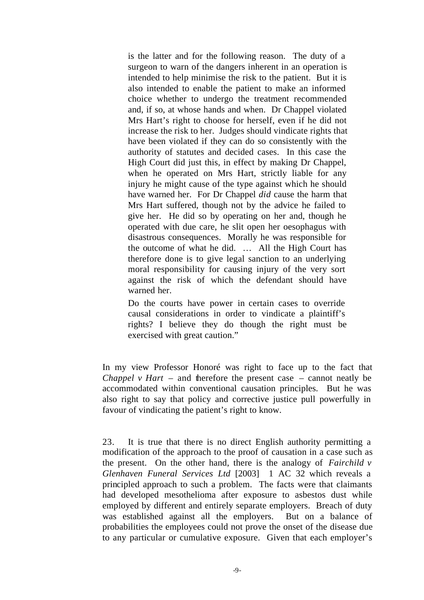is the latter and for the following reason. The duty of a surgeon to warn of the dangers inherent in an operation is intended to help minimise the risk to the patient. But it is also intended to enable the patient to make an informed choice whether to undergo the treatment recommended and, if so, at whose hands and when. Dr Chappel violated Mrs Hart's right to choose for herself, even if he did not increase the risk to her. Judges should vindicate rights that have been violated if they can do so consistently with the authority of statutes and decided cases. In this case the High Court did just this, in effect by making Dr Chappel, when he operated on Mrs Hart, strictly liable for any injury he might cause of the type against which he should have warned her. For Dr Chappel *did* cause the harm that Mrs Hart suffered, though not by the advice he failed to give her. He did so by operating on her and, though he operated with due care, he slit open her oesophagus with disastrous consequences. Morally he was responsible for the outcome of what he did. … All the High Court has therefore done is to give legal sanction to an underlying moral responsibility for causing injury of the very sort against the risk of which the defendant should have warned her.

Do the courts have power in certain cases to override causal considerations in order to vindicate a plaintiff's rights? I believe they do though the right must be exercised with great caution."

In my view Professor Honoré was right to face up to the fact that *Chappel v Hart –* and therefore the present case – cannot neatly be accommodated within conventional causation principles. But he was also right to say that policy and corrective justice pull powerfully in favour of vindicating the patient's right to know.

23. It is true that there is no direct English authority permitting a modification of the approach to the proof of causation in a case such as the present. On the other hand, there is the analogy of *Fairchild v Glenhaven Funeral Services Ltd* [2003] 1 AC 32 which reveals a principled approach to such a problem. The facts were that claimants had developed mesothelioma after exposure to asbestos dust while employed by different and entirely separate employers. Breach of duty was established against all the employers. But on a balance of probabilities the employees could not prove the onset of the disease due to any particular or cumulative exposure. Given that each employer's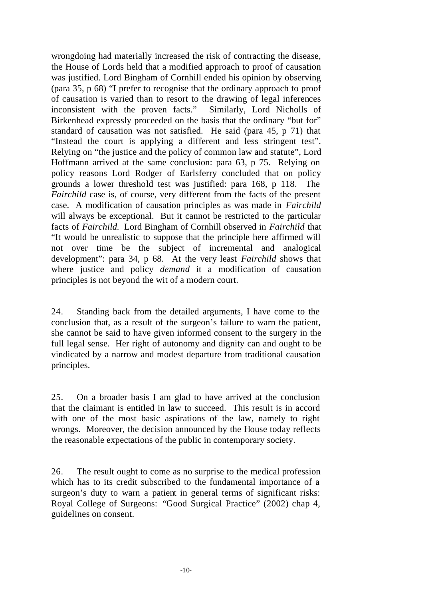wrongdoing had materially increased the risk of contracting the disease, the House of Lords held that a modified approach to proof of causation was justified. Lord Bingham of Cornhill ended his opinion by observing (para 35, p 68) "I prefer to recognise that the ordinary approach to proof of causation is varied than to resort to the drawing of legal inferences inconsistent with the proven facts." Similarly, Lord Nicholls of Birkenhead expressly proceeded on the basis that the ordinary "but for" standard of causation was not satisfied. He said (para 45, p 71) that "Instead the court is applying a different and less stringent test". Relying on "the justice and the policy of common law and statute", Lord Hoffmann arrived at the same conclusion: para 63, p 75. Relying on policy reasons Lord Rodger of Earlsferry concluded that on policy grounds a lower threshold test was justified: para 168, p 118. The *Fairchild* case is, of course, very different from the facts of the present case. A modification of causation principles as was made in *Fairchild* will always be exceptional. But it cannot be restricted to the particular facts of *Fairchild.* Lord Bingham of Cornhill observed in *Fairchild* that "It would be unrealistic to suppose that the principle here affirmed will not over time be the subject of incremental and analogical development": para 34, p 68. At the very least *Fairchild* shows that where justice and policy *demand* it a modification of causation principles is not beyond the wit of a modern court.

24. Standing back from the detailed arguments, I have come to the conclusion that, as a result of the surgeon's failure to warn the patient, she cannot be said to have given informed consent to the surgery in the full legal sense. Her right of autonomy and dignity can and ought to be vindicated by a narrow and modest departure from traditional causation principles.

25. On a broader basis I am glad to have arrived at the conclusion that the claimant is entitled in law to succeed. This result is in accord with one of the most basic aspirations of the law, namely to right wrongs. Moreover, the decision announced by the House today reflects the reasonable expectations of the public in contemporary society.

26. The result ought to come as no surprise to the medical profession which has to its credit subscribed to the fundamental importance of a surgeon's duty to warn a patient in general terms of significant risks: Royal College of Surgeons: "Good Surgical Practice" (2002) chap 4, guidelines on consent.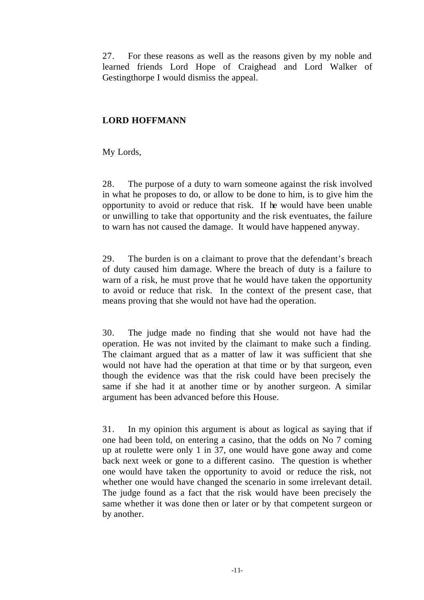27. For these reasons as well as the reasons given by my noble and learned friends Lord Hope of Craighead and Lord Walker of Gestingthorpe I would dismiss the appeal.

## **LORD HOFFMANN**

My Lords,

28. The purpose of a duty to warn someone against the risk involved in what he proposes to do, or allow to be done to him, is to give him the opportunity to avoid or reduce that risk. If he would have been unable or unwilling to take that opportunity and the risk eventuates, the failure to warn has not caused the damage. It would have happened anyway.

29. The burden is on a claimant to prove that the defendant's breach of duty caused him damage. Where the breach of duty is a failure to warn of a risk, he must prove that he would have taken the opportunity to avoid or reduce that risk. In the context of the present case, that means proving that she would not have had the operation.

30. The judge made no finding that she would not have had the operation. He was not invited by the claimant to make such a finding. The claimant argued that as a matter of law it was sufficient that she would not have had the operation at that time or by that surgeon, even though the evidence was that the risk could have been precisely the same if she had it at another time or by another surgeon. A similar argument has been advanced before this House.

31. In my opinion this argument is about as logical as saying that if one had been told, on entering a casino, that the odds on No 7 coming up at roulette were only 1 in 37, one would have gone away and come back next week or gone to a different casino. The question is whether one would have taken the opportunity to avoid or reduce the risk, not whether one would have changed the scenario in some irrelevant detail. The judge found as a fact that the risk would have been precisely the same whether it was done then or later or by that competent surgeon or by another.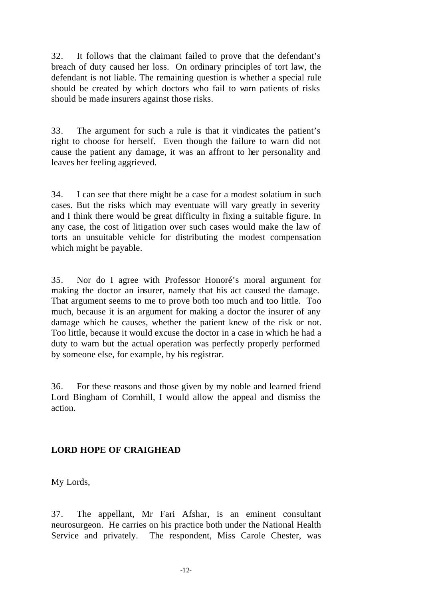32. It follows that the claimant failed to prove that the defendant's breach of duty caused her loss. On ordinary principles of tort law, the defendant is not liable. The remaining question is whether a special rule should be created by which doctors who fail to warn patients of risks should be made insurers against those risks.

33. The argument for such a rule is that it vindicates the patient's right to choose for herself. Even though the failure to warn did not cause the patient any damage, it was an affront to her personality and leaves her feeling aggrieved.

34. I can see that there might be a case for a modest solatium in such cases. But the risks which may eventuate will vary greatly in severity and I think there would be great difficulty in fixing a suitable figure. In any case, the cost of litigation over such cases would make the law of torts an unsuitable vehicle for distributing the modest compensation which might be payable.

35. Nor do I agree with Professor Honoré's moral argument for making the doctor an insurer, namely that his act caused the damage. That argument seems to me to prove both too much and too little. Too much, because it is an argument for making a doctor the insurer of any damage which he causes, whether the patient knew of the risk or not. Too little, because it would excuse the doctor in a case in which he had a duty to warn but the actual operation was perfectly properly performed by someone else, for example, by his registrar.

36. For these reasons and those given by my noble and learned friend Lord Bingham of Cornhill, I would allow the appeal and dismiss the action.

## **LORD HOPE OF CRAIGHEAD**

My Lords,

37. The appellant, Mr Fari Afshar, is an eminent consultant neurosurgeon. He carries on his practice both under the National Health Service and privately. The respondent, Miss Carole Chester, was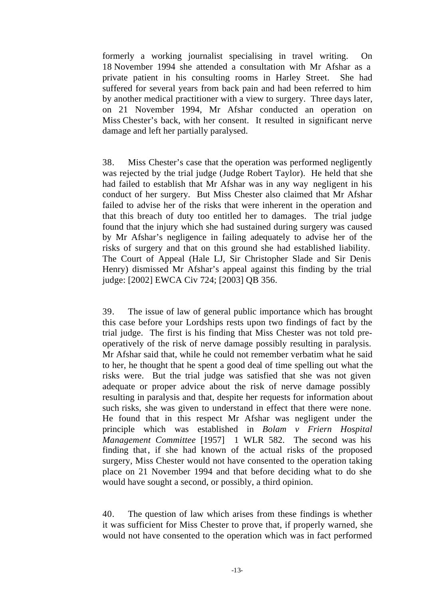formerly a working journalist specialising in travel writing. On 18 November 1994 she attended a consultation with Mr Afshar as a private patient in his consulting rooms in Harley Street. She had suffered for several years from back pain and had been referred to him by another medical practitioner with a view to surgery. Three days later, on 21 November 1994, Mr Afshar conducted an operation on Miss Chester's back, with her consent. It resulted in significant nerve damage and left her partially paralysed.

38. Miss Chester's case that the operation was performed negligently was rejected by the trial judge (Judge Robert Taylor). He held that she had failed to establish that Mr Afshar was in any way negligent in his conduct of her surgery. But Miss Chester also claimed that Mr Afshar failed to advise her of the risks that were inherent in the operation and that this breach of duty too entitled her to damages. The trial judge found that the injury which she had sustained during surgery was caused by Mr Afshar's negligence in failing adequately to advise her of the risks of surgery and that on this ground she had established liability. The Court of Appeal (Hale LJ, Sir Christopher Slade and Sir Denis Henry) dismissed Mr Afshar's appeal against this finding by the trial judge: [2002] EWCA Civ 724; [2003] QB 356.

39. The issue of law of general public importance which has brought this case before your Lordships rests upon two findings of fact by the trial judge. The first is his finding that Miss Chester was not told preoperatively of the risk of nerve damage possibly resulting in paralysis. Mr Afshar said that, while he could not remember verbatim what he said to her, he thought that he spent a good deal of time spelling out what the risks were. But the trial judge was satisfied that she was not given adequate or proper advice about the risk of nerve damage possibly resulting in paralysis and that, despite her requests for information about such risks, she was given to understand in effect that there were none. He found that in this respect Mr Afshar was negligent under the principle which was established in *Bolam v Friern Hospital Management Committee* [1957] 1 WLR 582. The second was his finding that, if she had known of the actual risks of the proposed surgery, Miss Chester would not have consented to the operation taking place on 21 November 1994 and that before deciding what to do she would have sought a second, or possibly, a third opinion.

40. The question of law which arises from these findings is whether it was sufficient for Miss Chester to prove that, if properly warned, she would not have consented to the operation which was in fact performed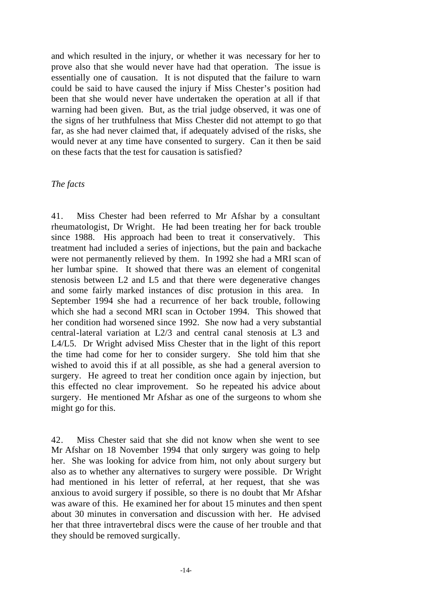and which resulted in the injury, or whether it was necessary for her to prove also that she would never have had that operation. The issue is essentially one of causation. It is not disputed that the failure to warn could be said to have caused the injury if Miss Chester's position had been that she would never have undertaken the operation at all if that warning had been given. But, as the trial judge observed, it was one of the signs of her truthfulness that Miss Chester did not attempt to go that far, as she had never claimed that, if adequately advised of the risks, she would never at any time have consented to surgery. Can it then be said on these facts that the test for causation is satisfied?

#### *The facts*

41. Miss Chester had been referred to Mr Afshar by a consultant rheumatologist, Dr Wright. He had been treating her for back trouble since 1988. His approach had been to treat it conservatively. This treatment had included a series of injections, but the pain and backache were not permanently relieved by them. In 1992 she had a MRI scan of her lumbar spine. It showed that there was an element of congenital stenosis between L2 and L5 and that there were degenerative changes and some fairly marked instances of disc protusion in this area. In September 1994 she had a recurrence of her back trouble, following which she had a second MRI scan in October 1994. This showed that her condition had worsened since 1992. She now had a very substantial central-lateral variation at L2/3 and central canal stenosis at L3 and L4/L5. Dr Wright advised Miss Chester that in the light of this report the time had come for her to consider surgery. She told him that she wished to avoid this if at all possible, as she had a general aversion to surgery. He agreed to treat her condition once again by injection, but this effected no clear improvement. So he repeated his advice about surgery. He mentioned Mr Afshar as one of the surgeons to whom she might go for this.

42. Miss Chester said that she did not know when she went to see Mr Afshar on 18 November 1994 that only surgery was going to help her. She was looking for advice from him, not only about surgery but also as to whether any alternatives to surgery were possible. Dr Wright had mentioned in his letter of referral, at her request, that she was anxious to avoid surgery if possible, so there is no doubt that Mr Afshar was aware of this. He examined her for about 15 minutes and then spent about 30 minutes in conversation and discussion with her. He advised her that three intravertebral discs were the cause of her trouble and that they should be removed surgically.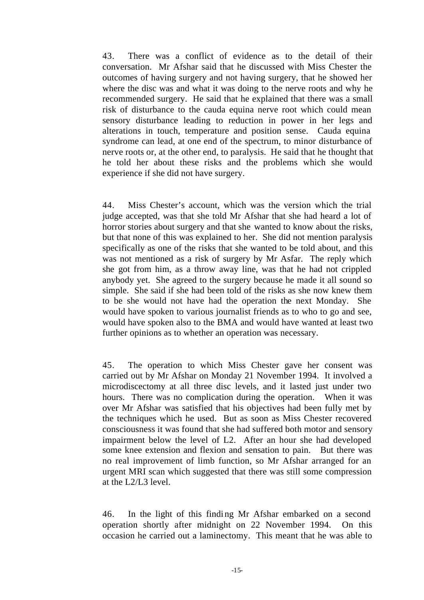43. There was a conflict of evidence as to the detail of their conversation. Mr Afshar said that he discussed with Miss Chester the outcomes of having surgery and not having surgery, that he showed her where the disc was and what it was doing to the nerve roots and why he recommended surgery. He said that he explained that there was a small risk of disturbance to the cauda equina nerve root which could mean sensory disturbance leading to reduction in power in her legs and alterations in touch, temperature and position sense. Cauda equina syndrome can lead, at one end of the spectrum, to minor disturbance of nerve roots or, at the other end, to paralysis. He said that he thought that he told her about these risks and the problems which she would experience if she did not have surgery.

44. Miss Chester's account, which was the version which the trial judge accepted, was that she told Mr Afshar that she had heard a lot of horror stories about surgery and that she wanted to know about the risks, but that none of this was explained to her. She did not mention paralysis specifically as one of the risks that she wanted to be told about, and this was not mentioned as a risk of surgery by Mr Asfar. The reply which she got from him, as a throw away line, was that he had not crippled anybody yet. She agreed to the surgery because he made it all sound so simple. She said if she had been told of the risks as she now knew them to be she would not have had the operation the next Monday. She would have spoken to various journalist friends as to who to go and see, would have spoken also to the BMA and would have wanted at least two further opinions as to whether an operation was necessary.

45. The operation to which Miss Chester gave her consent was carried out by Mr Afshar on Monday 21 November 1994. It involved a microdiscectomy at all three disc levels, and it lasted just under two hours. There was no complication during the operation. When it was over Mr Afshar was satisfied that his objectives had been fully met by the techniques which he used. But as soon as Miss Chester recovered consciousness it was found that she had suffered both motor and sensory impairment below the level of L2. After an hour she had developed some knee extension and flexion and sensation to pain. But there was no real improvement of limb function, so Mr Afshar arranged for an urgent MRI scan which suggested that there was still some compression at the L2/L3 level.

46. In the light of this finding Mr Afshar embarked on a second operation shortly after midnight on 22 November 1994. On this occasion he carried out a laminectomy. This meant that he was able to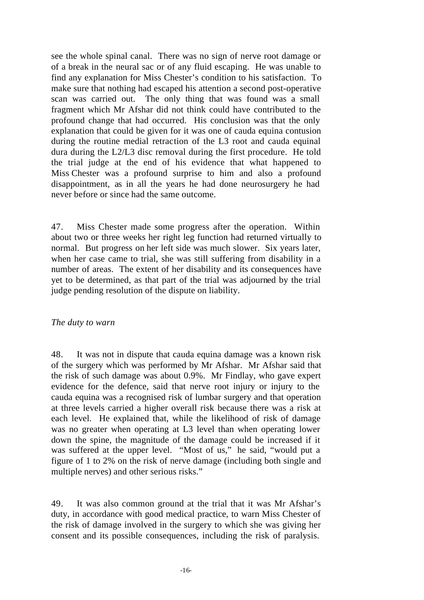see the whole spinal canal. There was no sign of nerve root damage or of a break in the neural sac or of any fluid escaping. He was unable to find any explanation for Miss Chester's condition to his satisfaction. To make sure that nothing had escaped his attention a second post-operative scan was carried out. The only thing that was found was a small fragment which Mr Afshar did not think could have contributed to the profound change that had occurred. His conclusion was that the only explanation that could be given for it was one of cauda equina contusion during the routine medial retraction of the L3 root and cauda equinal dura during the L2/L3 disc removal during the first procedure. He told the trial judge at the end of his evidence that what happened to Miss Chester was a profound surprise to him and also a profound disappointment, as in all the years he had done neurosurgery he had never before or since had the same outcome.

47. Miss Chester made some progress after the operation. Within about two or three weeks her right leg function had returned virtually to normal. But progress on her left side was much slower. Six years later, when her case came to trial, she was still suffering from disability in a number of areas. The extent of her disability and its consequences have yet to be determined, as that part of the trial was adjourned by the trial judge pending resolution of the dispute on liability.

## *The duty to warn*

48. It was not in dispute that cauda equina damage was a known risk of the surgery which was performed by Mr Afshar. Mr Afshar said that the risk of such damage was about 0.9%. Mr Findlay, who gave expert evidence for the defence, said that nerve root injury or injury to the cauda equina was a recognised risk of lumbar surgery and that operation at three levels carried a higher overall risk because there was a risk at each level. He explained that, while the likelihood of risk of damage was no greater when operating at L3 level than when operating lower down the spine, the magnitude of the damage could be increased if it was suffered at the upper level. "Most of us," he said, "would put a figure of 1 to 2% on the risk of nerve damage (including both single and multiple nerves) and other serious risks."

49. It was also common ground at the trial that it was Mr Afshar's duty, in accordance with good medical practice, to warn Miss Chester of the risk of damage involved in the surgery to which she was giving her consent and its possible consequences, including the risk of paralysis.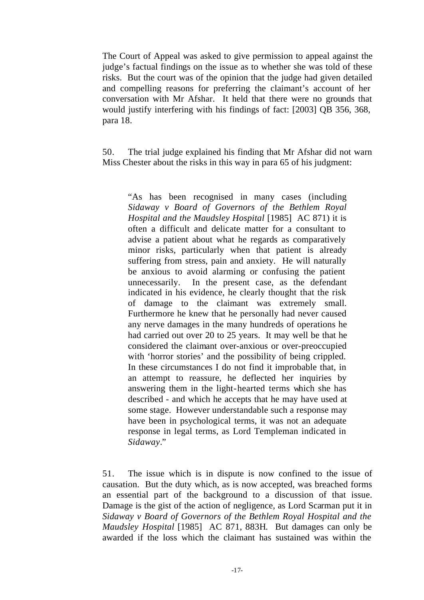The Court of Appeal was asked to give permission to appeal against the judge's factual findings on the issue as to whether she was told of these risks. But the court was of the opinion that the judge had given detailed and compelling reasons for preferring the claimant's account of her conversation with Mr Afshar. It held that there were no grounds that would justify interfering with his findings of fact: [2003] QB 356, 368, para 18.

50. The trial judge explained his finding that Mr Afshar did not warn Miss Chester about the risks in this way in para 65 of his judgment:

"As has been recognised in many cases (including *Sidaway v Board of Governors of the Bethlem Royal Hospital and the Maudsley Hospital* [1985] AC 871) it is often a difficult and delicate matter for a consultant to advise a patient about what he regards as comparatively minor risks, particularly when that patient is already suffering from stress, pain and anxiety. He will naturally be anxious to avoid alarming or confusing the patient unnecessarily. In the present case, as the defendant indicated in his evidence, he clearly thought that the risk of damage to the claimant was extremely small. Furthermore he knew that he personally had never caused any nerve damages in the many hundreds of operations he had carried out over 20 to 25 years. It may well be that he considered the claimant over-anxious or over-preoccupied with 'horror stories' and the possibility of being crippled. In these circumstances I do not find it improbable that, in an attempt to reassure, he deflected her inquiries by answering them in the light-hearted terms which she has described - and which he accepts that he may have used at some stage. However understandable such a response may have been in psychological terms, it was not an adequate response in legal terms, as Lord Templeman indicated in *Sidaway*."

51. The issue which is in dispute is now confined to the issue of causation. But the duty which, as is now accepted, was breached forms an essential part of the background to a discussion of that issue. Damage is the gist of the action of negligence, as Lord Scarman put it in *Sidaway v Board of Governors of the Bethlem Royal Hospital and the Maudsley Hospital* [1985] AC 871, 883H. But damages can only be awarded if the loss which the claimant has sustained was within the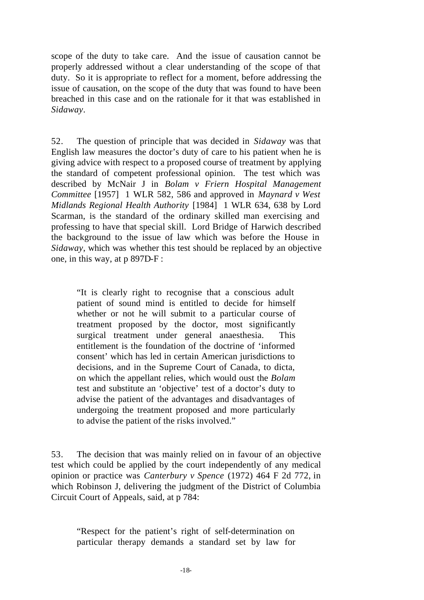scope of the duty to take care. And the issue of causation cannot be properly addressed without a clear understanding of the scope of that duty. So it is appropriate to reflect for a moment, before addressing the issue of causation, on the scope of the duty that was found to have been breached in this case and on the rationale for it that was established in *Sidaway*.

52. The question of principle that was decided in *Sidaway* was that English law measures the doctor's duty of care to his patient when he is giving advice with respect to a proposed course of treatment by applying the standard of competent professional opinion. The test which was described by McNair J in *Bolam v Friern Hospital Management Committee* [1957] 1 WLR 582, 586 and approved in *Maynard v West Midlands Regional Health Authority* [1984] 1 WLR 634, 638 by Lord Scarman, is the standard of the ordinary skilled man exercising and professing to have that special skill. Lord Bridge of Harwich described the background to the issue of law which was before the House in *Sidaway*, which was whether this test should be replaced by an objective one, in this way, at p 897D-F :

"It is clearly right to recognise that a conscious adult patient of sound mind is entitled to decide for himself whether or not he will submit to a particular course of treatment proposed by the doctor, most significantly surgical treatment under general anaesthesia. This entitlement is the foundation of the doctrine of 'informed consent' which has led in certain American jurisdictions to decisions, and in the Supreme Court of Canada, to dicta, on which the appellant relies, which would oust the *Bolam*  test and substitute an 'objective' test of a doctor's duty to advise the patient of the advantages and disadvantages of undergoing the treatment proposed and more particularly to advise the patient of the risks involved."

53. The decision that was mainly relied on in favour of an objective test which could be applied by the court independently of any medical opinion or practice was *Canterbury v Spence* (1972) 464 F 2d 772, in which Robinson J, delivering the judgment of the District of Columbia Circuit Court of Appeals, said, at p 784:

"Respect for the patient's right of self-determination on particular therapy demands a standard set by law for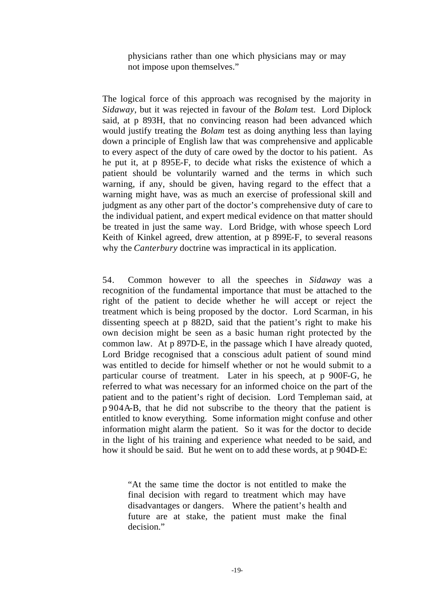physicians rather than one which physicians may or may not impose upon themselves."

The logical force of this approach was recognised by the majority in *Sidaway*, but it was rejected in favour of the *Bolam* test. Lord Diplock said, at p 893H, that no convincing reason had been advanced which would justify treating the *Bolam* test as doing anything less than laying down a principle of English law that was comprehensive and applicable to every aspect of the duty of care owed by the doctor to his patient. As he put it, at p 895E-F, to decide what risks the existence of which a patient should be voluntarily warned and the terms in which such warning, if any, should be given, having regard to the effect that a warning might have, was as much an exercise of professional skill and judgment as any other part of the doctor's comprehensive duty of care to the individual patient, and expert medical evidence on that matter should be treated in just the same way. Lord Bridge, with whose speech Lord Keith of Kinkel agreed, drew attention, at p 899E-F, to several reasons why the *Canterbury* doctrine was impractical in its application.

54. Common however to all the speeches in *Sidaway* was a recognition of the fundamental importance that must be attached to the right of the patient to decide whether he will accept or reject the treatment which is being proposed by the doctor. Lord Scarman, in his dissenting speech at p 882D, said that the patient's right to make his own decision might be seen as a basic human right protected by the common law. At p 897D-E, in the passage which I have already quoted, Lord Bridge recognised that a conscious adult patient of sound mind was entitled to decide for himself whether or not he would submit to a particular course of treatment. Later in his speech, at p 900F-G, he referred to what was necessary for an informed choice on the part of the patient and to the patient's right of decision. Lord Templeman said, at p 904A-B, that he did not subscribe to the theory that the patient is entitled to know everything. Some information might confuse and other information might alarm the patient. So it was for the doctor to decide in the light of his training and experience what needed to be said, and how it should be said. But he went on to add these words, at p 904D-E:

"At the same time the doctor is not entitled to make the final decision with regard to treatment which may have disadvantages or dangers. Where the patient's health and future are at stake, the patient must make the final decision."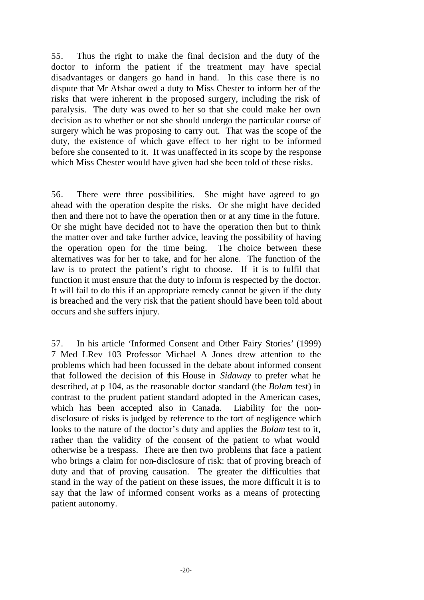55. Thus the right to make the final decision and the duty of the doctor to inform the patient if the treatment may have special disadvantages or dangers go hand in hand. In this case there is no dispute that Mr Afshar owed a duty to Miss Chester to inform her of the risks that were inherent in the proposed surgery, including the risk of paralysis. The duty was owed to her so that she could make her own decision as to whether or not she should undergo the particular course of surgery which he was proposing to carry out. That was the scope of the duty, the existence of which gave effect to her right to be informed before she consented to it. It was unaffected in its scope by the response which Miss Chester would have given had she been told of these risks.

56. There were three possibilities. She might have agreed to go ahead with the operation despite the risks. Or she might have decided then and there not to have the operation then or at any time in the future. Or she might have decided not to have the operation then but to think the matter over and take further advice, leaving the possibility of having the operation open for the time being. The choice between these alternatives was for her to take, and for her alone. The function of the law is to protect the patient's right to choose. If it is to fulfil that function it must ensure that the duty to inform is respected by the doctor. It will fail to do this if an appropriate remedy cannot be given if the duty is breached and the very risk that the patient should have been told about occurs and she suffers injury.

57. In his article 'Informed Consent and Other Fairy Stories' (1999) 7 Med LRev 103 Professor Michael A Jones drew attention to the problems which had been focussed in the debate about informed consent that followed the decision of this House in *Sidaway* to prefer what he described, at p 104, as the reasonable doctor standard (the *Bolam* test) in contrast to the prudent patient standard adopted in the American cases, which has been accepted also in Canada. Liability for the nondisclosure of risks is judged by reference to the tort of negligence which looks to the nature of the doctor's duty and applies the *Bolam* test to it, rather than the validity of the consent of the patient to what would otherwise be a trespass. There are then two problems that face a patient who brings a claim for non-disclosure of risk: that of proving breach of duty and that of proving causation. The greater the difficulties that stand in the way of the patient on these issues, the more difficult it is to say that the law of informed consent works as a means of protecting patient autonomy.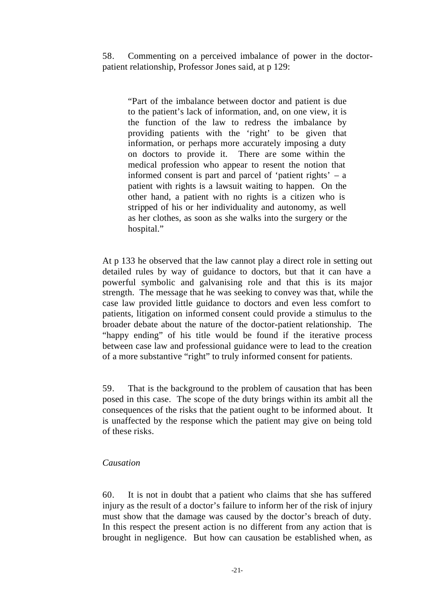58. Commenting on a perceived imbalance of power in the doctorpatient relationship, Professor Jones said, at p 129:

"Part of the imbalance between doctor and patient is due to the patient's lack of information, and, on one view, it is the function of the law to redress the imbalance by providing patients with the 'right' to be given that information, or perhaps more accurately imposing a duty on doctors to provide it. There are some within the medical profession who appear to resent the notion that informed consent is part and parcel of 'patient rights' – a patient with rights is a lawsuit waiting to happen. On the other hand, a patient with no rights is a citizen who is stripped of his or her individuality and autonomy, as well as her clothes, as soon as she walks into the surgery or the hospital."

At p 133 he observed that the law cannot play a direct role in setting out detailed rules by way of guidance to doctors, but that it can have a powerful symbolic and galvanising role and that this is its major strength. The message that he was seeking to convey was that, while the case law provided little guidance to doctors and even less comfort to patients, litigation on informed consent could provide a stimulus to the broader debate about the nature of the doctor-patient relationship. The "happy ending" of his title would be found if the iterative process between case law and professional guidance were to lead to the creation of a more substantive "right" to truly informed consent for patients.

59. That is the background to the problem of causation that has been posed in this case. The scope of the duty brings within its ambit all the consequences of the risks that the patient ought to be informed about. It is unaffected by the response which the patient may give on being told of these risks.

## *Causation*

60. It is not in doubt that a patient who claims that she has suffered injury as the result of a doctor's failure to inform her of the risk of injury must show that the damage was caused by the doctor's breach of duty. In this respect the present action is no different from any action that is brought in negligence. But how can causation be established when, as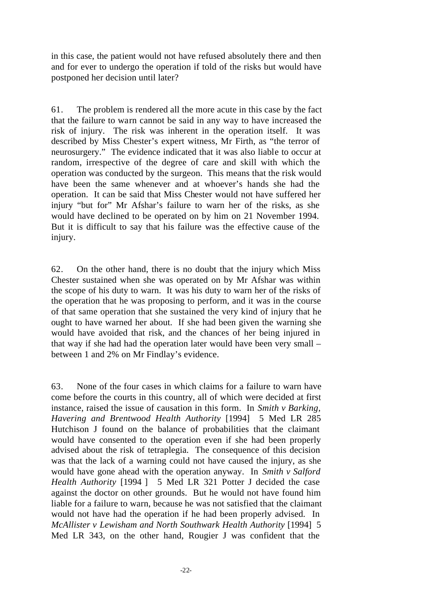in this case, the patient would not have refused absolutely there and then and for ever to undergo the operation if told of the risks but would have postponed her decision until later?

61. The problem is rendered all the more acute in this case by the fact that the failure to warn cannot be said in any way to have increased the risk of injury. The risk was inherent in the operation itself. It was described by Miss Chester's expert witness, Mr Firth, as "the terror of neurosurgery." The evidence indicated that it was also liable to occur at random, irrespective of the degree of care and skill with which the operation was conducted by the surgeon. This means that the risk would have been the same whenever and at whoever's hands she had the operation. It can be said that Miss Chester would not have suffered her injury "but for" Mr Afshar's failure to warn her of the risks, as she would have declined to be operated on by him on 21 November 1994. But it is difficult to say that his failure was the effective cause of the injury.

62. On the other hand, there is no doubt that the injury which Miss Chester sustained when she was operated on by Mr Afshar was within the scope of his duty to warn. It was his duty to warn her of the risks of the operation that he was proposing to perform, and it was in the course of that same operation that she sustained the very kind of injury that he ought to have warned her about. If she had been given the warning she would have avoided that risk, and the chances of her being injured in that way if she had had the operation later would have been very small – between 1 and 2% on Mr Findlay's evidence.

63. None of the four cases in which claims for a failure to warn have come before the courts in this country, all of which were decided at first instance, raised the issue of causation in this form. In *Smith v Barking, Havering and Brentwood Health Authority* [1994] 5 Med LR 285 Hutchison J found on the balance of probabilities that the claimant would have consented to the operation even if she had been properly advised about the risk of tetraplegia. The consequence of this decision was that the lack of a warning could not have caused the injury, as she would have gone ahead with the operation anyway. In *Smith v Salford Health Authority* [1994 ] 5 Med LR 321 Potter J decided the case against the doctor on other grounds. But he would not have found him liable for a failure to warn, because he was not satisfied that the claimant would not have had the operation if he had been properly advised. In *McAllister v Lewisham and North Southwark Health Authority* [1994] 5 Med LR 343, on the other hand, Rougier J was confident that the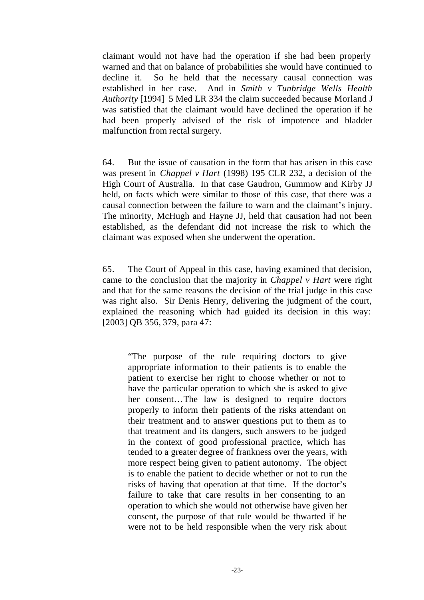claimant would not have had the operation if she had been properly warned and that on balance of probabilities she would have continued to decline it. So he held that the necessary causal connection was established in her case. And in *Smith v Tunbridge Wells Health Authority* [1994] 5 Med LR 334 the claim succeeded because Morland J was satisfied that the claimant would have declined the operation if he had been properly advised of the risk of impotence and bladder malfunction from rectal surgery.

64. But the issue of causation in the form that has arisen in this case was present in *Chappel v Hart* (1998) 195 CLR 232, a decision of the High Court of Australia. In that case Gaudron, Gummow and Kirby JJ held, on facts which were similar to those of this case, that there was a causal connection between the failure to warn and the claimant's injury. The minority, McHugh and Hayne JJ, held that causation had not been established, as the defendant did not increase the risk to which the claimant was exposed when she underwent the operation.

65. The Court of Appeal in this case, having examined that decision, came to the conclusion that the majority in *Chappel v Hart* were right and that for the same reasons the decision of the trial judge in this case was right also. Sir Denis Henry, delivering the judgment of the court, explained the reasoning which had guided its decision in this way: [2003] QB 356, 379, para 47:

"The purpose of the rule requiring doctors to give appropriate information to their patients is to enable the patient to exercise her right to choose whether or not to have the particular operation to which she is asked to give her consent…The law is designed to require doctors properly to inform their patients of the risks attendant on their treatment and to answer questions put to them as to that treatment and its dangers, such answers to be judged in the context of good professional practice, which has tended to a greater degree of frankness over the years, with more respect being given to patient autonomy. The object is to enable the patient to decide whether or not to run the risks of having that operation at that time. If the doctor's failure to take that care results in her consenting to an operation to which she would not otherwise have given her consent, the purpose of that rule would be thwarted if he were not to be held responsible when the very risk about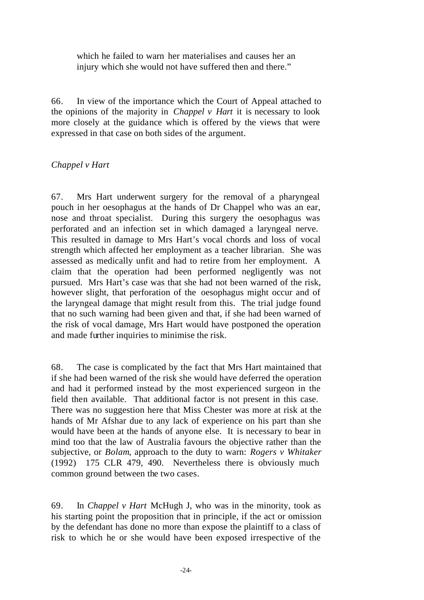which he failed to warn her materialises and causes her an injury which she would not have suffered then and there."

66. In view of the importance which the Court of Appeal attached to the opinions of the majority in *Chappel v Hart* it is necessary to look more closely at the guidance which is offered by the views that were expressed in that case on both sides of the argument.

## *Chappel v Hart*

67. Mrs Hart underwent surgery for the removal of a pharyngeal pouch in her oesophagus at the hands of Dr Chappel who was an ear, nose and throat specialist. During this surgery the oesophagus was perforated and an infection set in which damaged a laryngeal nerve. This resulted in damage to Mrs Hart's vocal chords and loss of vocal strength which affected her employment as a teacher librarian. She was assessed as medically unfit and had to retire from her employment. A claim that the operation had been performed negligently was not pursued. Mrs Hart's case was that she had not been warned of the risk, however slight, that perforation of the oesophagus might occur and of the laryngeal damage that might result from this. The trial judge found that no such warning had been given and that, if she had been warned of the risk of vocal damage, Mrs Hart would have postponed the operation and made further inquiries to minimise the risk.

68. The case is complicated by the fact that Mrs Hart maintained that if she had been warned of the risk she would have deferred the operation and had it performed instead by the most experienced surgeon in the field then available. That additional factor is not present in this case. There was no suggestion here that Miss Chester was more at risk at the hands of Mr Afshar due to any lack of experience on his part than she would have been at the hands of anyone else. It is necessary to bear in mind too that the law of Australia favours the objective rather than the subjective, or *Bolam*, approach to the duty to warn: *Rogers v Whitaker* (1992) 175 CLR 479, 490. Nevertheless there is obviously much common ground between the two cases.

69. In *Chappel v Hart* McHugh J, who was in the minority, took as his starting point the proposition that in principle, if the act or omission by the defendant has done no more than expose the plaintiff to a class of risk to which he or she would have been exposed irrespective of the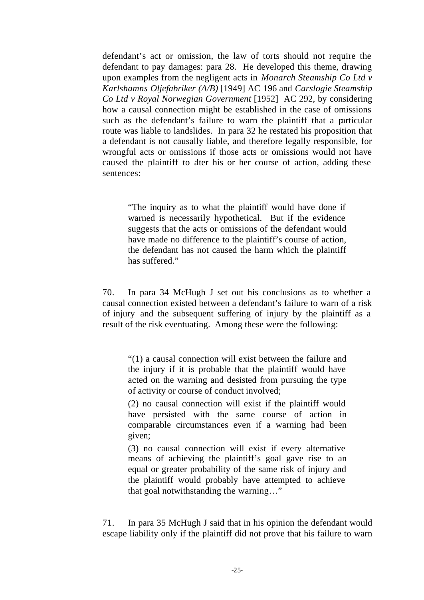defendant's act or omission, the law of torts should not require the defendant to pay damages: para 28. He developed this theme, drawing upon examples from the negligent acts in *Monarch Steamship Co Ltd v Karlshamns Oljefabriker (A/B)* [1949] AC 196 and *Carslogie Steamship Co Ltd v Royal Norwegian Government* [1952] AC 292, by considering how a causal connection might be established in the case of omissions such as the defendant's failure to warn the plaintiff that a particular route was liable to landslides. In para 32 he restated his proposition that a defendant is not causally liable, and therefore legally responsible, for wrongful acts or omissions if those acts or omissions would not have caused the plaintiff to dter his or her course of action, adding these sentences:

"The inquiry as to what the plaintiff would have done if warned is necessarily hypothetical. But if the evidence suggests that the acts or omissions of the defendant would have made no difference to the plaintiff's course of action, the defendant has not caused the harm which the plaintiff has suffered."

70. In para 34 McHugh J set out his conclusions as to whether a causal connection existed between a defendant's failure to warn of a risk of injury and the subsequent suffering of injury by the plaintiff as a result of the risk eventuating. Among these were the following:

"(1) a causal connection will exist between the failure and the injury if it is probable that the plaintiff would have acted on the warning and desisted from pursuing the type of activity or course of conduct involved;

(2) no causal connection will exist if the plaintiff would have persisted with the same course of action in comparable circumstances even if a warning had been given;

(3) no causal connection will exist if every alternative means of achieving the plaintiff's goal gave rise to an equal or greater probability of the same risk of injury and the plaintiff would probably have attempted to achieve that goal notwithstanding the warning…"

71. In para 35 McHugh J said that in his opinion the defendant would escape liability only if the plaintiff did not prove that his failure to warn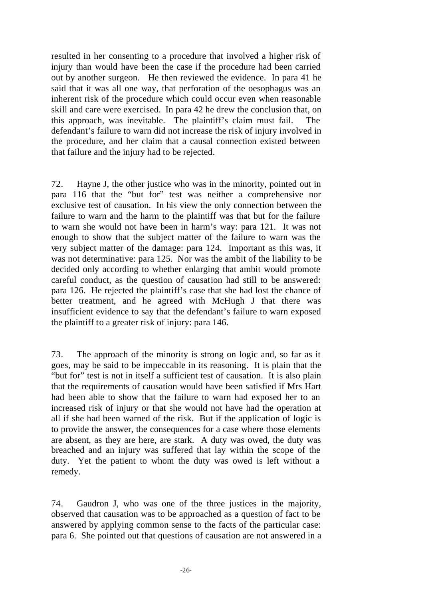resulted in her consenting to a procedure that involved a higher risk of injury than would have been the case if the procedure had been carried out by another surgeon. He then reviewed the evidence. In para 41 he said that it was all one way, that perforation of the oesophagus was an inherent risk of the procedure which could occur even when reasonable skill and care were exercised. In para 42 he drew the conclusion that, on this approach, was inevitable. The plaintiff's claim must fail. The defendant's failure to warn did not increase the risk of injury involved in the procedure, and her claim that a causal connection existed between that failure and the injury had to be rejected.

72. Hayne J, the other justice who was in the minority, pointed out in para 116 that the "but for" test was neither a comprehensive nor exclusive test of causation. In his view the only connection between the failure to warn and the harm to the plaintiff was that but for the failure to warn she would not have been in harm's way: para 121. It was not enough to show that the subject matter of the failure to warn was the very subject matter of the damage: para 124. Important as this was, it was not determinative: para 125. Nor was the ambit of the liability to be decided only according to whether enlarging that ambit would promote careful conduct, as the question of causation had still to be answered: para 126. He rejected the plaintiff's case that she had lost the chance of better treatment, and he agreed with McHugh J that there was insufficient evidence to say that the defendant's failure to warn exposed the plaintiff to a greater risk of injury: para 146.

73. The approach of the minority is strong on logic and, so far as it goes, may be said to be impeccable in its reasoning. It is plain that the "but for" test is not in itself a sufficient test of causation. It is also plain that the requirements of causation would have been satisfied if Mrs Hart had been able to show that the failure to warn had exposed her to an increased risk of injury or that she would not have had the operation at all if she had been warned of the risk. But if the application of logic is to provide the answer, the consequences for a case where those elements are absent, as they are here, are stark. A duty was owed, the duty was breached and an injury was suffered that lay within the scope of the duty. Yet the patient to whom the duty was owed is left without a remedy.

74. Gaudron J, who was one of the three justices in the majority, observed that causation was to be approached as a question of fact to be answered by applying common sense to the facts of the particular case: para 6. She pointed out that questions of causation are not answered in a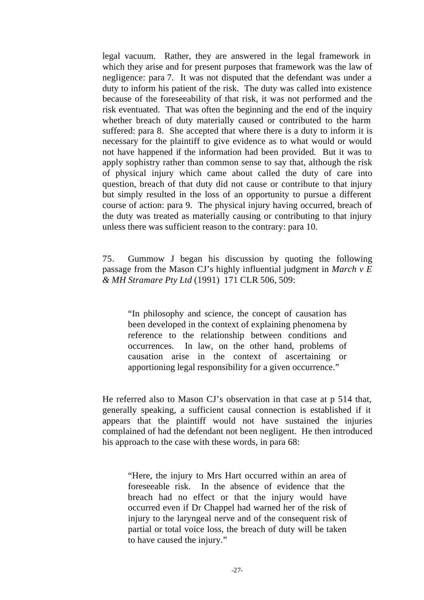legal vacuum. Rather, they are answered in the legal framework in which they arise and for present purposes that framework was the law of negligence: para 7. It was not disputed that the defendant was under a duty to inform his patient of the risk. The duty was called into existence because of the foreseeability of that risk, it was not performed and the risk eventuated. That was often the beginning and the end of the inquiry whether breach of duty materially caused or contributed to the harm suffered: para 8. She accepted that where there is a duty to inform it is necessary for the plaintiff to give evidence as to what would or would not have happened if the information had been provided. But it was to apply sophistry rather than common sense to say that, although the risk of physical injury which came about called the duty of care into question, breach of that duty did not cause or contribute to that injury but simply resulted in the loss of an opportunity to pursue a different course of action: para 9. The physical injury having occurred, breach of the duty was treated as materially causing or contributing to that injury unless there was sufficient reason to the contrary: para 10.

75. Gummow J began his discussion by quoting the following passage from the Mason CJ's highly influential judgment in *March v E & MH Stramare Pty Ltd* (1991) 171 CLR 506, 509:

"In philosophy and science, the concept of causation has been developed in the context of explaining phenomena by reference to the relationship between conditions and occurrences. In law, on the other hand, problems of causation arise in the context of ascertaining or apportioning legal responsibility for a given occurrence."

He referred also to Mason CJ's observation in that case at p 514 that, generally speaking, a sufficient causal connection is established if it appears that the plaintiff would not have sustained the injuries complained of had the defendant not been negligent. He then introduced his approach to the case with these words, in para 68:

"Here, the injury to Mrs Hart occurred within an area of foreseeable risk. In the absence of evidence that the breach had no effect or that the injury would have occurred even if Dr Chappel had warned her of the risk of injury to the laryngeal nerve and of the consequent risk of partial or total voice loss, the breach of duty will be taken to have caused the injury."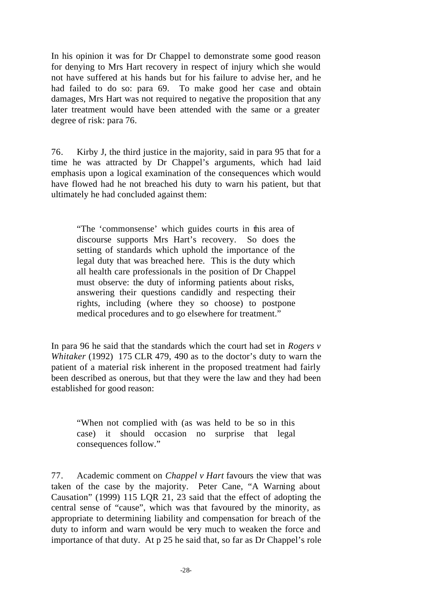In his opinion it was for Dr Chappel to demonstrate some good reason for denying to Mrs Hart recovery in respect of injury which she would not have suffered at his hands but for his failure to advise her, and he had failed to do so: para 69. To make good her case and obtain damages, Mrs Hart was not required to negative the proposition that any later treatment would have been attended with the same or a greater degree of risk: para 76.

76. Kirby J, the third justice in the majority, said in para 95 that for a time he was attracted by Dr Chappel's arguments, which had laid emphasis upon a logical examination of the consequences which would have flowed had he not breached his duty to warn his patient, but that ultimately he had concluded against them:

"The 'commonsense' which guides courts in this area of discourse supports Mrs Hart's recovery. So does the setting of standards which uphold the importance of the legal duty that was breached here. This is the duty which all health care professionals in the position of Dr Chappel must observe: the duty of informing patients about risks, answering their questions candidly and respecting their rights, including (where they so choose) to postpone medical procedures and to go elsewhere for treatment."

In para 96 he said that the standards which the court had set in *Rogers v Whitaker* (1992) 175 CLR 479, 490 as to the doctor's duty to warn the patient of a material risk inherent in the proposed treatment had fairly been described as onerous, but that they were the law and they had been established for good reason:

"When not complied with (as was held to be so in this case) it should occasion no surprise that legal consequences follow."

77. Academic comment on *Chappel v Hart* favours the view that was taken of the case by the majority. Peter Cane, "A Warning about Causation" (1999) 115 LQR 21, 23 said that the effect of adopting the central sense of "cause", which was that favoured by the minority, as appropriate to determining liability and compensation for breach of the duty to inform and warn would be very much to weaken the force and importance of that duty. At p 25 he said that, so far as Dr Chappel's role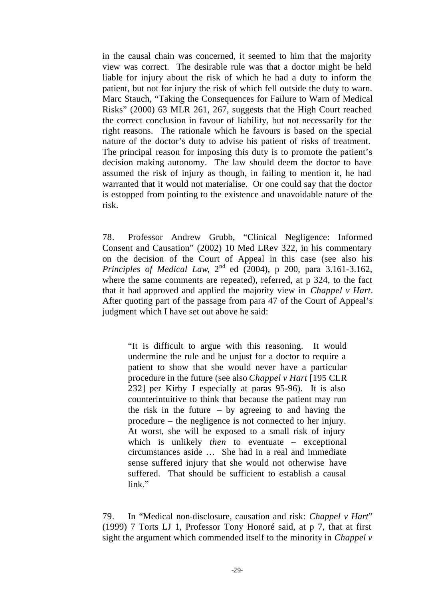in the causal chain was concerned, it seemed to him that the majority view was correct. The desirable rule was that a doctor might be held liable for injury about the risk of which he had a duty to inform the patient, but not for injury the risk of which fell outside the duty to warn. Marc Stauch, "Taking the Consequences for Failure to Warn of Medical Risks" (2000) 63 MLR 261, 267, suggests that the High Court reached the correct conclusion in favour of liability, but not necessarily for the right reasons. The rationale which he favours is based on the special nature of the doctor's duty to advise his patient of risks of treatment. The principal reason for imposing this duty is to promote the patient's decision making autonomy. The law should deem the doctor to have assumed the risk of injury as though, in failing to mention it, he had warranted that it would not materialise. Or one could say that the doctor is estopped from pointing to the existence and unavoidable nature of the risk.

78. Professor Andrew Grubb, "Clinical Negligence: Informed Consent and Causation" (2002) 10 Med LRev 322, in his commentary on the decision of the Court of Appeal in this case (see also his *Principles of Medical Law*,  $2^{nd}$  ed  $(2004)$ , p 200, para 3.161-3.162, where the same comments are repeated), referred, at p 324, to the fact that it had approved and applied the majority view in *Chappel v Hart*. After quoting part of the passage from para 47 of the Court of Appeal's judgment which I have set out above he said:

"It is difficult to argue with this reasoning. It would undermine the rule and be unjust for a doctor to require a patient to show that she would never have a particular procedure in the future (see also *Chappel v Hart* [195 CLR 232] per Kirby J especially at paras 95-96). It is also counterintuitive to think that because the patient may run the risk in the future  $-$  by agreeing to and having the procedure – the negligence is not connected to her injury. At worst, she will be exposed to a small risk of injury which is unlikely *then* to eventuate – exceptional circumstances aside … She had in a real and immediate sense suffered injury that she would not otherwise have suffered. That should be sufficient to establish a causal link."

79. In "Medical non-disclosure, causation and risk: *Chappel v Hart*" (1999) 7 Torts LJ 1, Professor Tony Honoré said, at p 7, that at first sight the argument which commended itself to the minority in *Chappel v*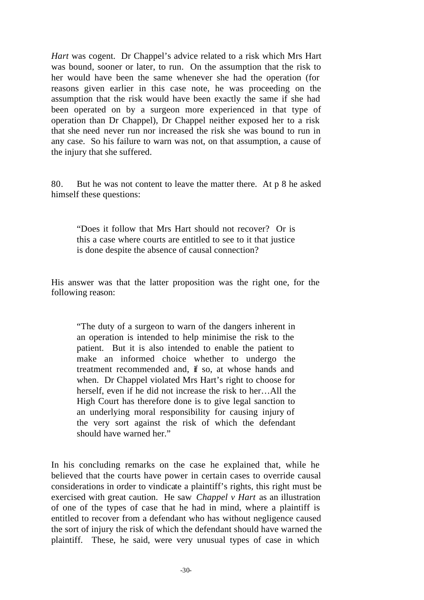*Hart* was cogent. Dr Chappel's advice related to a risk which Mrs Hart was bound, sooner or later, to run. On the assumption that the risk to her would have been the same whenever she had the operation (for reasons given earlier in this case note, he was proceeding on the assumption that the risk would have been exactly the same if she had been operated on by a surgeon more experienced in that type of operation than Dr Chappel), Dr Chappel neither exposed her to a risk that she need never run nor increased the risk she was bound to run in any case. So his failure to warn was not, on that assumption, a cause of the injury that she suffered.

80. But he was not content to leave the matter there. At p 8 he asked himself these questions:

"Does it follow that Mrs Hart should not recover? Or is this a case where courts are entitled to see to it that justice is done despite the absence of causal connection?

His answer was that the latter proposition was the right one, for the following reason:

"The duty of a surgeon to warn of the dangers inherent in an operation is intended to help minimise the risk to the patient. But it is also intended to enable the patient to make an informed choice whether to undergo the treatment recommended and, if so, at whose hands and when. Dr Chappel violated Mrs Hart's right to choose for herself, even if he did not increase the risk to her…All the High Court has therefore done is to give legal sanction to an underlying moral responsibility for causing injury of the very sort against the risk of which the defendant should have warned her."

In his concluding remarks on the case he explained that, while he believed that the courts have power in certain cases to override causal considerations in order to vindicate a plaintiff's rights, this right must be exercised with great caution. He saw *Chappel v Hart* as an illustration of one of the types of case that he had in mind, where a plaintiff is entitled to recover from a defendant who has without negligence caused the sort of injury the risk of which the defendant should have warned the plaintiff. These, he said, were very unusual types of case in which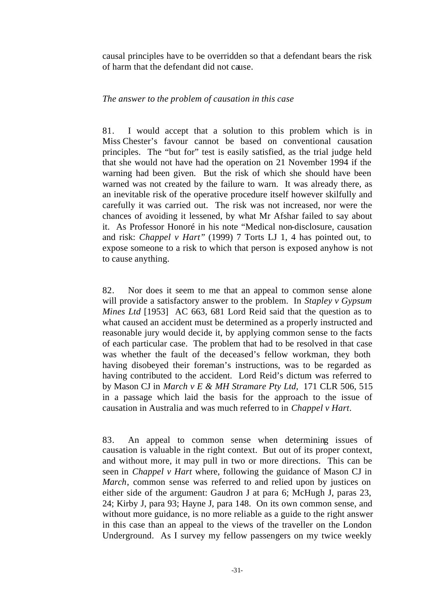causal principles have to be overridden so that a defendant bears the risk of harm that the defendant did not cause.

## *The answer to the problem of causation in this case*

81. I would accept that a solution to this problem which is in Miss Chester's favour cannot be based on conventional causation principles. The "but for" test is easily satisfied, as the trial judge held that she would not have had the operation on 21 November 1994 if the warning had been given. But the risk of which she should have been warned was not created by the failure to warn. It was already there, as an inevitable risk of the operative procedure itself however skilfully and carefully it was carried out. The risk was not increased, nor were the chances of avoiding it lessened, by what Mr Afshar failed to say about it. As Professor Honoré in his note "Medical non-disclosure, causation and risk: *Chappel v Hart"* (1999) 7 Torts LJ 1, 4 has pointed out, to expose someone to a risk to which that person is exposed anyhow is not to cause anything.

82. Nor does it seem to me that an appeal to common sense alone will provide a satisfactory answer to the problem. In *Stapley v Gypsum Mines Ltd* [1953] AC 663, 681 Lord Reid said that the question as to what caused an accident must be determined as a properly instructed and reasonable jury would decide it, by applying common sense to the facts of each particular case. The problem that had to be resolved in that case was whether the fault of the deceased's fellow workman, they both having disobeyed their foreman's instructions, was to be regarded as having contributed to the accident. Lord Reid's dictum was referred to by Mason CJ in *March v E & MH Stramare Pty Ltd*, 171 CLR 506, 515 in a passage which laid the basis for the approach to the issue of causation in Australia and was much referred to in *Chappel v Hart*.

83. An appeal to common sense when determining issues of causation is valuable in the right context. But out of its proper context, and without more, it may pull in two or more directions. This can be seen in *Chappel v Hart* where, following the guidance of Mason CJ in *March*, common sense was referred to and relied upon by justices on either side of the argument: Gaudron J at para 6; McHugh J, paras 23, 24; Kirby J, para 93; Hayne J, para 148. On its own common sense, and without more guidance, is no more reliable as a guide to the right answer in this case than an appeal to the views of the traveller on the London Underground. As I survey my fellow passengers on my twice weekly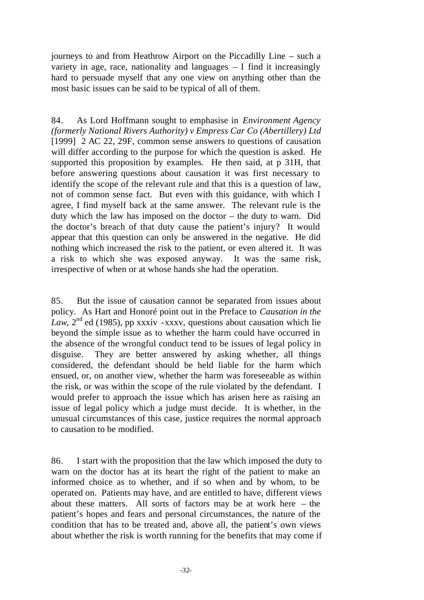journeys to and from Heathrow Airport on the Piccadilly Line – such a variety in age, race, nationality and languages  $-1$  find it increasingly hard to persuade myself that any one view on anything other than the most basic issues can be said to be typical of all of them.

84. As Lord Hoffmann sought to emphasise in *Environment Agency (formerly National Rivers Authority) v Empress Car Co (Abertillery) Ltd* [1999] 2 AC 22, 29F, common sense answers to questions of causation will differ according to the purpose for which the question is asked. He supported this proposition by examples. He then said, at p 31H, that before answering questions about causation it was first necessary to identify the scope of the relevant rule and that this is a question of law, not of common sense fact. But even with this guidance, with which I agree, I find myself back at the same answer. The relevant rule is the duty which the law has imposed on the doctor – the duty to warn. Did the doctor's breach of that duty cause the patient's injury? It would appear that this question can only be answered in the negative. He did nothing which increased the risk to the patient, or even altered it. It was a risk to which she was exposed anyway. It was the same risk, irrespective of when or at whose hands she had the operation.

85. But the issue of causation cannot be separated from issues about policy. As Hart and Honoré point out in the Preface to *Causation in the Law*,  $2^{nd}$  ed (1985), pp xxxiv -xxxv, questions about causation which lie beyond the simple issue as to whether the harm could have occurred in the absence of the wrongful conduct tend to be issues of legal policy in disguise. They are better answered by asking whether, all things considered, the defendant should be held liable for the harm which ensued, or, on another view, whether the harm was foreseeable as within the risk, or was within the scope of the rule violated by the defendant. I would prefer to approach the issue which has arisen here as raising an issue of legal policy which a judge must decide. It is whether, in the unusual circumstances of this case, justice requires the normal approach to causation to be modified.

86. I start with the proposition that the law which imposed the duty to warn on the doctor has at its heart the right of the patient to make an informed choice as to whether, and if so when and by whom, to be operated on. Patients may have, and are entitled to have, different views about these matters. All sorts of factors may be at work here – the patient's hopes and fears and personal circumstances, the nature of the condition that has to be treated and, above all, the patient's own views about whether the risk is worth running for the benefits that may come if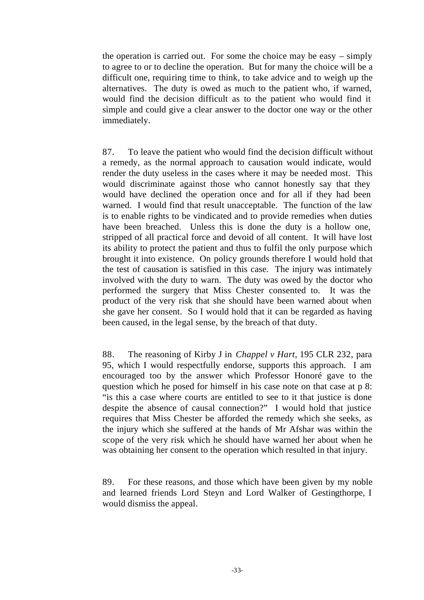the operation is carried out. For some the choice may be easy – simply to agree to or to decline the operation. But for many the choice will be a difficult one, requiring time to think, to take advice and to weigh up the alternatives. The duty is owed as much to the patient who, if warned, would find the decision difficult as to the patient who would find it simple and could give a clear answer to the doctor one way or the other immediately.

87. To leave the patient who would find the decision difficult without a remedy, as the normal approach to causation would indicate, would render the duty useless in the cases where it may be needed most. This would discriminate against those who cannot honestly say that they would have declined the operation once and for all if they had been warned. I would find that result unacceptable. The function of the law is to enable rights to be vindicated and to provide remedies when duties have been breached. Unless this is done the duty is a hollow one, stripped of all practical force and devoid of all content. It will have lost its ability to protect the patient and thus to fulfil the only purpose which brought it into existence. On policy grounds therefore I would hold that the test of causation is satisfied in this case. The injury was intimately involved with the duty to warn. The duty was owed by the doctor who performed the surgery that Miss Chester consented to. It was the product of the very risk that she should have been warned about when she gave her consent. So I would hold that it can be regarded as having been caused, in the legal sense, by the breach of that duty.

88. The reasoning of Kirby J in *Chappel v Hart*, 195 CLR 232, para 95, which I would respectfully endorse, supports this approach. I am encouraged too by the answer which Professor Honoré gave to the question which he posed for himself in his case note on that case at p 8: "is this a case where courts are entitled to see to it that justice is done despite the absence of causal connection?" I would hold that justice requires that Miss Chester be afforded the remedy which she seeks, as the injury which she suffered at the hands of Mr Afshar was within the scope of the very risk which he should have warned her about when he was obtaining her consent to the operation which resulted in that injury.

89. For these reasons, and those which have been given by my noble and learned friends Lord Steyn and Lord Walker of Gestingthorpe, I would dismiss the appeal.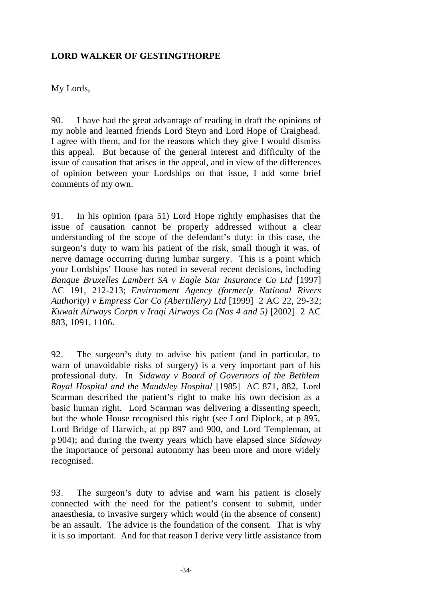## **LORD WALKER OF GESTINGTHORPE**

My Lords,

90. I have had the great advantage of reading in draft the opinions of my noble and learned friends Lord Steyn and Lord Hope of Craighead. I agree with them, and for the reasons which they give I would dismiss this appeal. But because of the general interest and difficulty of the issue of causation that arises in the appeal, and in view of the differences of opinion between your Lordships on that issue, I add some brief comments of my own.

91. In his opinion (para 51) Lord Hope rightly emphasises that the issue of causation cannot be properly addressed without a clear understanding of the scope of the defendant's duty: in this case, the surgeon's duty to warn his patient of the risk, small though it was, of nerve damage occurring during lumbar surgery. This is a point which your Lordships' House has noted in several recent decisions, including *Banque Bruxelles Lambert SA v Eagle Star Insurance Co Ltd* [1997] AC 191, 212-213; *Environment Agency (formerly National Rivers Authority) v Empress Car Co (Abertillery) Ltd* [1999] 2 AC 22, 29-32; *Kuwait Airways Corpn v Iraqi Airways Co (Nos 4 and 5)* [2002] 2 AC 883, 1091, 1106.

92. The surgeon's duty to advise his patient (and in particular, to warn of unavoidable risks of surgery) is a very important part of his professional duty. In *Sidaway v Board of Governors of the Bethlem Royal Hospital and the Maudsley Hospital* [1985] AC 871, 882, Lord Scarman described the patient's right to make his own decision as a basic human right. Lord Scarman was delivering a dissenting speech, but the whole House recognised this right (see Lord Diplock, at p 895, Lord Bridge of Harwich, at pp 897 and 900, and Lord Templeman, at p 904); and during the twenty years which have elapsed since *Sidaway* the importance of personal autonomy has been more and more widely recognised.

93. The surgeon's duty to advise and warn his patient is closely connected with the need for the patient's consent to submit, under anaesthesia, to invasive surgery which would (in the absence of consent) be an assault. The advice is the foundation of the consent. That is why it is so important. And for that reason I derive very little assistance from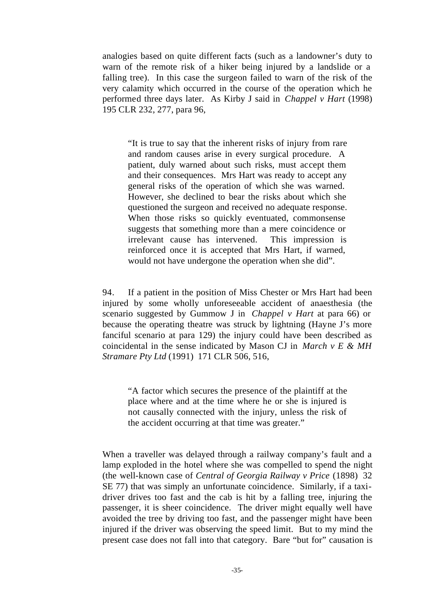analogies based on quite different facts (such as a landowner's duty to warn of the remote risk of a hiker being injured by a landslide or a falling tree). In this case the surgeon failed to warn of the risk of the very calamity which occurred in the course of the operation which he performed three days later. As Kirby J said in *Chappel v Hart* (1998) 195 CLR 232, 277, para 96,

"It is true to say that the inherent risks of injury from rare and random causes arise in every surgical procedure. A patient, duly warned about such risks, must accept them and their consequences. Mrs Hart was ready to accept any general risks of the operation of which she was warned. However, she declined to bear the risks about which she questioned the surgeon and received no adequate response. When those risks so quickly eventuated, commonsense suggests that something more than a mere coincidence or irrelevant cause has intervened. This impression is reinforced once it is accepted that Mrs Hart, if warned, would not have undergone the operation when she did".

94. If a patient in the position of Miss Chester or Mrs Hart had been injured by some wholly unforeseeable accident of anaesthesia (the scenario suggested by Gummow J in *Chappel v Hart* at para 66) or because the operating theatre was struck by lightning (Hayne J's more fanciful scenario at para 129) the injury could have been described as coincidental in the sense indicated by Mason CJ in *March v E & MH Stramare Pty Ltd* (1991) 171 CLR 506, 516,

"A factor which secures the presence of the plaintiff at the place where and at the time where he or she is injured is not causally connected with the injury, unless the risk of the accident occurring at that time was greater."

When a traveller was delayed through a railway company's fault and a lamp exploded in the hotel where she was compelled to spend the night (the well-known case of *Central of Georgia Railway v Price* (1898) 32 SE 77) that was simply an unfortunate coincidence. Similarly, if a taxidriver drives too fast and the cab is hit by a falling tree, injuring the passenger, it is sheer coincidence. The driver might equally well have avoided the tree by driving too fast, and the passenger might have been injured if the driver was observing the speed limit. But to my mind the present case does not fall into that category. Bare "but for" causation is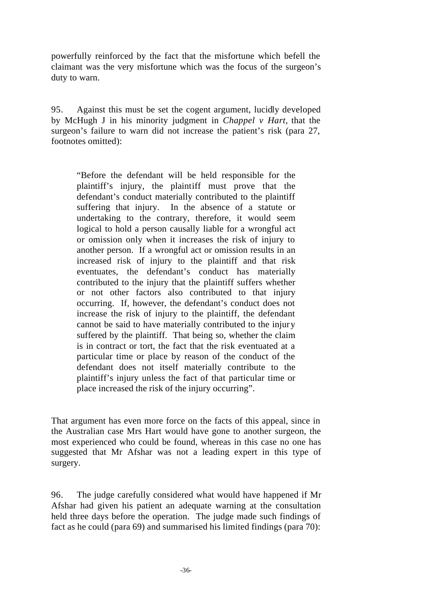powerfully reinforced by the fact that the misfortune which befell the claimant was the very misfortune which was the focus of the surgeon's duty to warn.

95. Against this must be set the cogent argument, lucidly developed by McHugh J in his minority judgment in *Chappel v Hart,* that the surgeon's failure to warn did not increase the patient's risk (para 27, footnotes omitted):

"Before the defendant will be held responsible for the plaintiff's injury, the plaintiff must prove that the defendant's conduct materially contributed to the plaintiff suffering that injury. In the absence of a statute or undertaking to the contrary, therefore, it would seem logical to hold a person causally liable for a wrongful act or omission only when it increases the risk of injury to another person. If a wrongful act or omission results in an increased risk of injury to the plaintiff and that risk eventuates, the defendant's conduct has materially contributed to the injury that the plaintiff suffers whether or not other factors also contributed to that injury occurring. If, however, the defendant's conduct does not increase the risk of injury to the plaintiff, the defendant cannot be said to have materially contributed to the injury suffered by the plaintiff. That being so, whether the claim is in contract or tort, the fact that the risk eventuated at a particular time or place by reason of the conduct of the defendant does not itself materially contribute to the plaintiff's injury unless the fact of that particular time or place increased the risk of the injury occurring".

That argument has even more force on the facts of this appeal, since in the Australian case Mrs Hart would have gone to another surgeon, the most experienced who could be found, whereas in this case no one has suggested that Mr Afshar was not a leading expert in this type of surgery.

96. The judge carefully considered what would have happened if Mr Afshar had given his patient an adequate warning at the consultation held three days before the operation. The judge made such findings of fact as he could (para 69) and summarised his limited findings (para 70):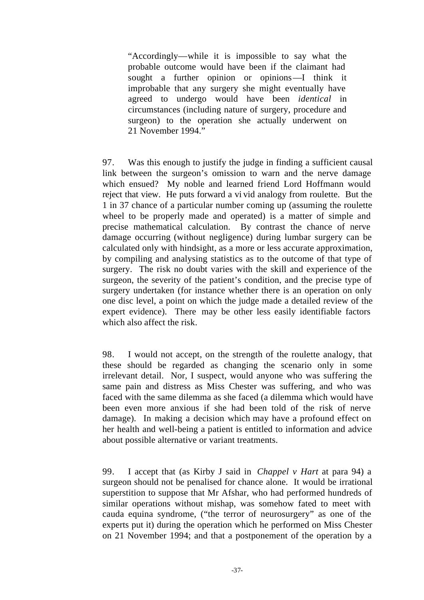"Accordingly—while it is impossible to say what the probable outcome would have been if the claimant had sought a further opinion or opinions—I think it improbable that any surgery she might eventually have agreed to undergo would have been *identical* in circumstances (including nature of surgery, procedure and surgeon) to the operation she actually underwent on 21 November 1994."

97. Was this enough to justify the judge in finding a sufficient causal link between the surgeon's omission to warn and the nerve damage which ensued? My noble and learned friend Lord Hoffmann would reject that view. He puts forward a vi vid analogy from roulette. But the 1 in 37 chance of a particular number coming up (assuming the roulette wheel to be properly made and operated) is a matter of simple and precise mathematical calculation. By contrast the chance of nerve damage occurring (without negligence) during lumbar surgery can be calculated only with hindsight, as a more or less accurate approximation, by compiling and analysing statistics as to the outcome of that type of surgery. The risk no doubt varies with the skill and experience of the surgeon, the severity of the patient's condition, and the precise type of surgery undertaken (for instance whether there is an operation on only one disc level, a point on which the judge made a detailed review of the expert evidence). There may be other less easily identifiable factors which also affect the risk.

98. I would not accept, on the strength of the roulette analogy, that these should be regarded as changing the scenario only in some irrelevant detail. Nor, I suspect, would anyone who was suffering the same pain and distress as Miss Chester was suffering, and who was faced with the same dilemma as she faced (a dilemma which would have been even more anxious if she had been told of the risk of nerve damage). In making a decision which may have a profound effect on her health and well-being a patient is entitled to information and advice about possible alternative or variant treatments.

99. I accept that (as Kirby J said in *Chappel v Hart* at para 94) a surgeon should not be penalised for chance alone. It would be irrational superstition to suppose that Mr Afshar, who had performed hundreds of similar operations without mishap, was somehow fated to meet with cauda equina syndrome, ("the terror of neurosurgery" as one of the experts put it) during the operation which he performed on Miss Chester on 21 November 1994; and that a postponement of the operation by a